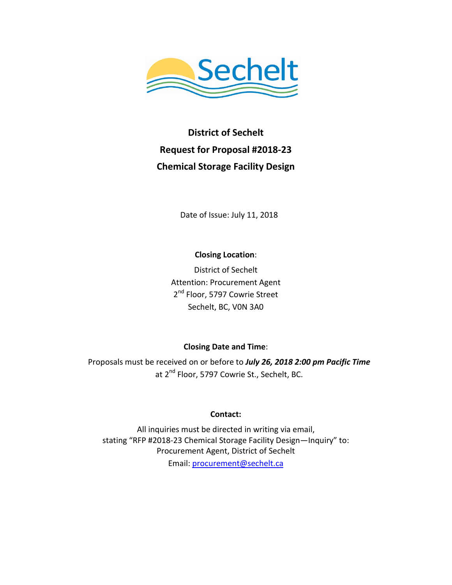

**District of Sechelt Request for Proposal #2018-23 Chemical Storage Facility Design**

Date of Issue: July 11, 2018

**Closing Location**:

District of Sechelt Attention: Procurement Agent 2<sup>nd</sup> Floor, 5797 Cowrie Street Sechelt, BC, V0N 3A0

### **Closing Date and Time**:

Proposals must be received on or before to *July 26, 2018 2:00 pm Pacific Time* at 2<sup>nd</sup> Floor, 5797 Cowrie St., Sechelt, BC.

### **Contact:**

All inquiries must be directed in writing via email, stating "RFP #2018-23 Chemical Storage Facility Design—Inquiry" to: Procurement Agent, District of Sechelt

Email: [procurement@sechelt.ca](mailto:procurement@sechelt.ca)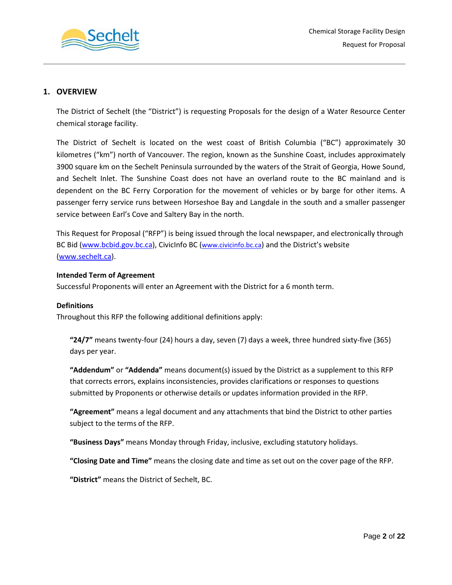

### **1. OVERVIEW**

The District of Sechelt (the "District") is requesting Proposals for the design of a Water Resource Center chemical storage facility.

The District of Sechelt is located on the west coast of British Columbia ("BC") approximately 30 kilometres ("km") north of Vancouver. The region, known as the Sunshine Coast, includes approximately 3900 square km on the Sechelt Peninsula surrounded by the waters of the Strait of Georgia, Howe Sound, and Sechelt Inlet. The Sunshine Coast does not have an overland route to the BC mainland and is dependent on the BC Ferry Corporation for the movement of vehicles or by barge for other items. A passenger ferry service runs between Horseshoe Bay and Langdale in the south and a smaller passenger service between Earl's Cove and Saltery Bay in the north.

This Request for Proposal ("RFP") is being issued through the local newspaper, and electronically through BC Bid [\(www.bcbid.gov.bc.ca\)](http://www.bcbid.gov.bc.ca/), CivicInfo BC (www.civicinfo.bc.ca) and the District's website [\(www.sechelt.ca\)](http://www.sechelt.ca/).

### **Intended Term of Agreement**

Successful Proponents will enter an Agreement with the District for a 6 month term.

### **Definitions**

Throughout this RFP the following additional definitions apply:

**"24/7"** means twenty-four (24) hours a day, seven (7) days a week, three hundred sixty-five (365) days per year.

**"Addendum"** or **"Addenda"** means document(s) issued by the District as a supplement to this RFP that corrects errors, explains inconsistencies, provides clarifications or responses to questions submitted by Proponents or otherwise details or updates information provided in the RFP.

**"Agreement"** means a legal document and any attachments that bind the District to other parties subject to the terms of the RFP.

**"Business Days"** means Monday through Friday, inclusive, excluding statutory holidays.

**"Closing Date and Time"** means the closing date and time as set out on the cover page of the RFP.

**"District"** means the District of Sechelt, BC.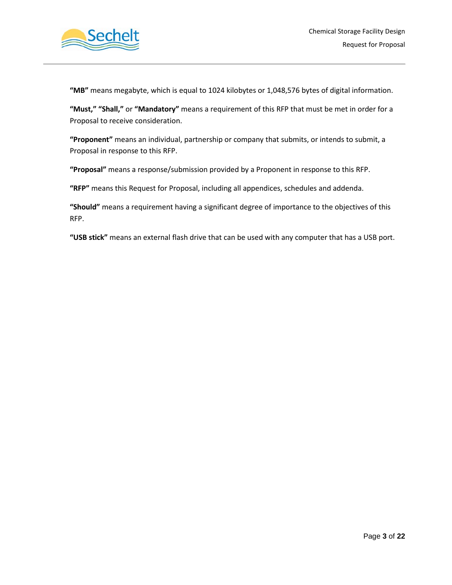

**"MB"** means megabyte, which is equal to 1024 kilobytes or 1,048,576 bytes of digital information.

**"Must," "Shall,"** or **"Mandatory"** means a requirement of this RFP that must be met in order for a Proposal to receive consideration.

**"Proponent"** means an individual, partnership or company that submits, or intends to submit, a Proposal in response to this RFP.

**"Proposal"** means a response/submission provided by a Proponent in response to this RFP.

**"RFP"** means this Request for Proposal, including all appendices, schedules and addenda.

**"Should"** means a requirement having a significant degree of importance to the objectives of this RFP.

**"USB stick"** means an external flash drive that can be used with any computer that has a USB port.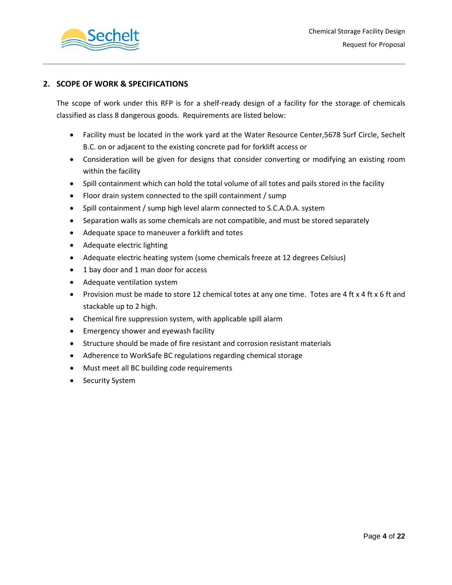

### **2. SCOPE OF WORK & SPECIFICATIONS**

The scope of work under this RFP is for a shelf-ready design of a facility for the storage of chemicals classified as class 8 dangerous goods. Requirements are listed below:

- Facility must be located in the work yard at the Water Resource Center,5678 Surf Circle, Sechelt B.C. on or adjacent to the existing concrete pad for forklift access or
- Consideration will be given for designs that consider converting or modifying an existing room within the facility
- Spill containment which can hold the total volume of all totes and pails stored in the facility
- Floor drain system connected to the spill containment / sump
- Spill containment / sump high level alarm connected to S.C.A.D.A. system
- Separation walls as some chemicals are not compatible, and must be stored separately
- Adequate space to maneuver a forklift and totes
- Adequate electric lighting
- Adequate electric heating system (some chemicals freeze at 12 degrees Celsius)
- 1 bay door and 1 man door for access
- Adequate ventilation system
- Provision must be made to store 12 chemical totes at any one time. Totes are 4 ft x 4 ft x 6 ft and stackable up to 2 high.
- Chemical fire suppression system, with applicable spill alarm
- Emergency shower and eyewash facility
- Structure should be made of fire resistant and corrosion resistant materials
- Adherence to WorkSafe BC regulations regarding chemical storage
- Must meet all BC building code requirements
- Security System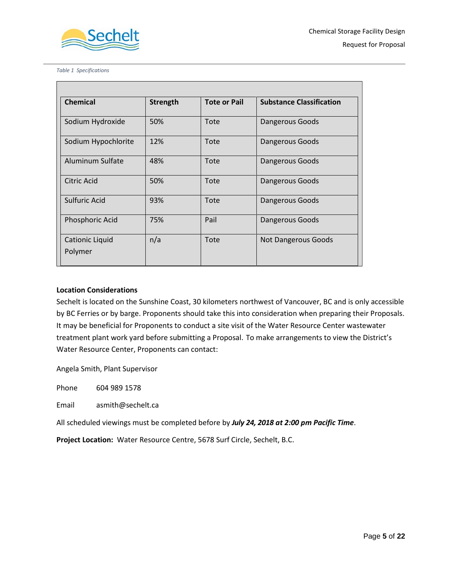

*Table 1 Specifications*

Г

| <b>Chemical</b>                   | Strength | <b>Tote or Pail</b> | <b>Substance Classification</b> |
|-----------------------------------|----------|---------------------|---------------------------------|
| Sodium Hydroxide                  | 50%      | Tote                | Dangerous Goods                 |
| Sodium Hypochlorite               | 12%      | Tote                | Dangerous Goods                 |
| Aluminum Sulfate                  | 48%      | Tote                | Dangerous Goods                 |
| Citric Acid                       | 50%      | Tote                | Dangerous Goods                 |
| Sulfuric Acid                     | 93%      | Tote                | Dangerous Goods                 |
| Phosphoric Acid                   | 75%      | Pail                | Dangerous Goods                 |
| <b>Cationic Liquid</b><br>Polymer | n/a      | Tote                | <b>Not Dangerous Goods</b>      |

### **Location Considerations**

Sechelt is located on the Sunshine Coast, 30 kilometers northwest of Vancouver, BC and is only accessible by BC Ferries or by barge. Proponents should take this into consideration when preparing their Proposals. It may be beneficial for Proponents to conduct a site visit of the Water Resource Center wastewater treatment plant work yard before submitting a Proposal. To make arrangements to view the District's Water Resource Center, Proponents can contact:

Angela Smith, Plant Supervisor

Phone 604 989 1578

Email asmith@sechelt.ca

All scheduled viewings must be completed before by *July 24, 2018 at 2:00 pm Pacific Time*.

**Project Location:** Water Resource Centre, 5678 Surf Circle, Sechelt, B.C.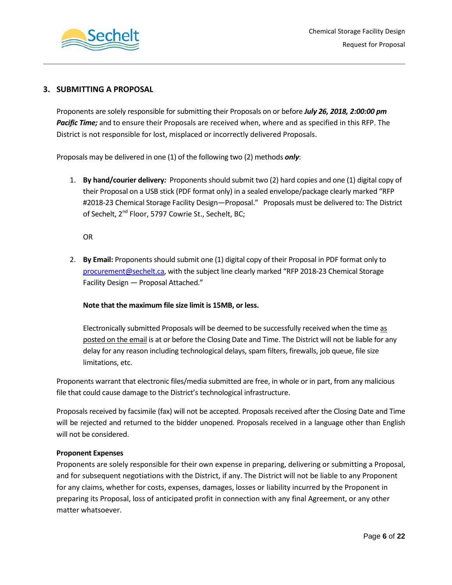

### **3. SUBMITTING A PROPOSAL**

Proponents are solely responsible for submitting their Proposals on or before *July 26, 2018, 2:00:00 pm Pacific Time;* and to ensure their Proposals are received when, where and as specified in this RFP. The District is not responsible for lost, misplaced or incorrectly delivered Proposals.

Proposals may be delivered in one (1) of the following two (2) methods *only*:

1. **By hand/courier delivery***:* Proponents should submit two (2) hard copies and one (1) digital copy of their Proposal on a USB stick (PDF format only) in a sealed envelope/package clearly marked "RFP #2018-23 Chemical Storage Facility Design—Proposal." Proposals must be delivered to: The District of Sechelt, 2<sup>nd</sup> Floor, 5797 Cowrie St., Sechelt, BC;

OR

2. **By Email:** Proponents should submit one (1) digital copy of their Proposal in PDF format only to [procurement@sechelt.ca,](mailto:procurement@sechelt.ca) with the subject line clearly marked "RFP 2018-23 Chemical Storage Facility Design — Proposal Attached."

### **Note that the maximum file size limit is 15MB, or less.**

Electronically submitted Proposals will be deemed to be successfully received when the time as posted on the email is at or before the Closing Date and Time. The District will not be liable for any delay for any reason including technological delays, spam filters, firewalls, job queue, file size limitations, etc.

Proponents warrant that electronic files/media submitted are free, in whole or in part, from any malicious file that could cause damage to the District's technological infrastructure.

Proposals received by facsimile (fax) will not be accepted. Proposals received after the Closing Date and Time will be rejected and returned to the bidder unopened. Proposals received in a language other than English will not be considered.

### **Proponent Expenses**

Proponents are solely responsible for their own expense in preparing, delivering or submitting a Proposal, and for subsequent negotiations with the District, if any. The District will not be liable to any Proponent for any claims, whether for costs, expenses, damages, losses or liability incurred by the Proponent in preparing its Proposal, loss of anticipated profit in connection with any final Agreement, or any other matter whatsoever.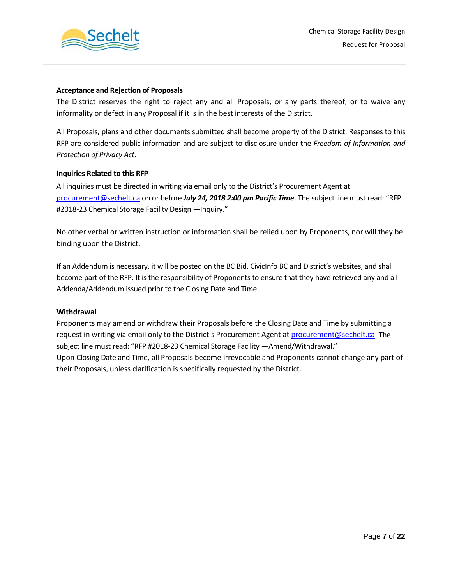

### **Acceptance and Rejection of Proposals**

The District reserves the right to reject any and all Proposals, or any parts thereof, or to waive any informality or defect in any Proposal if it is in the best interests of the District.

All Proposals, plans and other documents submitted shall become property of the District. Responses to this RFP are considered public information and are subject to disclosure under the *Freedom of Information and Protection of Privacy Act*.

### **Inquiries Related to this RFP**

All inquiries must be directed in writing via email only to the District's Procurement Agent at [procurement@sechelt.ca](mailto:procurement@sechelt.ca) on or before *July 24, 2018 2:00 pm Pacific Time*. The subject line must read: "RFP #2018-23 Chemical Storage Facility Design - Inquiry."

No other verbal or written instruction or information shall be relied upon by Proponents, nor will they be binding upon the District.

If an Addendum is necessary, it will be posted on the BC Bid, CivicInfo BC and District's websites, and shall become part of the RFP. It is the responsibility of Proponents to ensure that they have retrieved any and all Addenda/Addendum issued prior to the Closing Date and Time.

### **Withdrawal**

Proponents may amend or withdraw their Proposals before the Closing Date and Time by submitting a request in writing via email only to the District's Procurement Agent a[t procurement@sechelt.ca.](mailto:procurement@sechelt.ca) The subject line must read: "RFP #2018-23 Chemical Storage Facility —Amend/Withdrawal." Upon Closing Date and Time, all Proposals become irrevocable and Proponents cannot change any part of their Proposals, unless clarification is specifically requested by the District.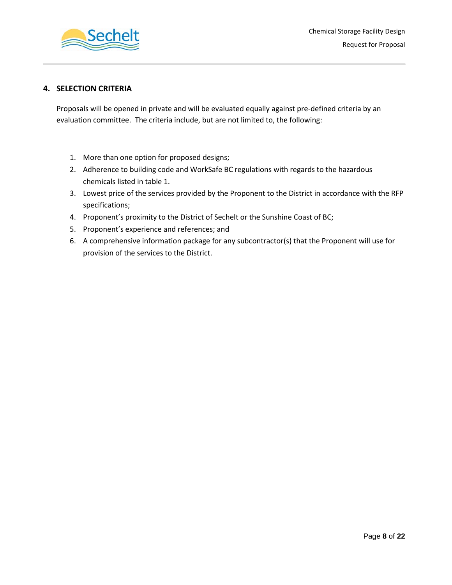

### **4. SELECTION CRITERIA**

Proposals will be opened in private and will be evaluated equally against pre-defined criteria by an evaluation committee. The criteria include, but are not limited to, the following:

- 1. More than one option for proposed designs;
- 2. Adherence to building code and WorkSafe BC regulations with regards to the hazardous chemicals listed in table 1.
- 3. Lowest price of the services provided by the Proponent to the District in accordance with the RFP specifications;
- 4. Proponent's proximity to the District of Sechelt or the Sunshine Coast of BC;
- 5. Proponent's experience and references; and
- 6. A comprehensive information package for any subcontractor(s) that the Proponent will use for provision of the services to the District.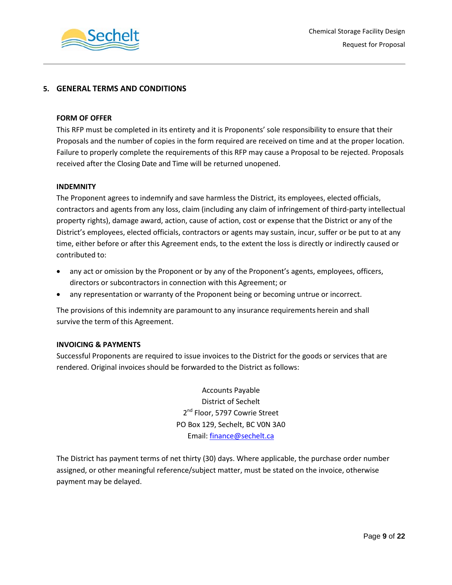

### **5. GENERAL TERMS AND CONDITIONS**

### **FORM OF OFFER**

This RFP must be completed in its entirety and it is Proponents' sole responsibility to ensure that their Proposals and the number of copies in the form required are received on time and at the proper location. Failure to properly complete the requirements of this RFP may cause a Proposal to be rejected. Proposals received after the Closing Date and Time will be returned unopened.

### **INDEMNITY**

The Proponent agrees to indemnify and save harmless the District, its employees, elected officials, contractors and agents from any loss, claim (including any claim of infringement of third-party intellectual property rights), damage award, action, cause of action, cost or expense that the District or any of the District's employees, elected officials, contractors or agents may sustain, incur, suffer or be put to at any time, either before or after this Agreement ends, to the extent the loss is directly or indirectly caused or contributed to:

- any act or omission by the Proponent or by any of the Proponent's agents, employees, officers, directors or subcontractors in connection with this Agreement; or
- any representation or warranty of the Proponent being or becoming untrue or incorrect.

The provisions of this indemnity are paramount to any insurance requirements herein and shall survive the term of this Agreement.

### **INVOICING & PAYMENTS**

Successful Proponents are required to issue invoices to the District for the goods or services that are rendered. Original invoices should be forwarded to the District as follows:

> Accounts Payable District of Sechelt 2<sup>nd</sup> Floor, 5797 Cowrie Street PO Box 129, Sechelt, BC V0N 3A0 Email: [finance@sechelt.ca](mailto:finance@sechelt.ca)

The District has payment terms of net thirty (30) days. Where applicable, the purchase order number assigned, or other meaningful reference/subject matter, must be stated on the invoice, otherwise payment may be delayed.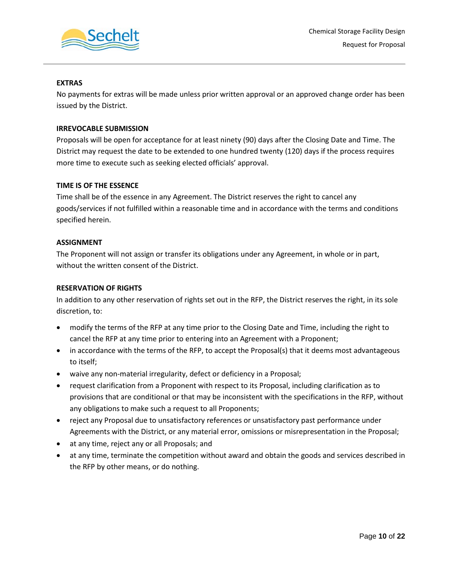

### **EXTRAS**

No payments for extras will be made unless prior written approval or an approved change order has been issued by the District.

### **IRREVOCABLE SUBMISSION**

Proposals will be open for acceptance for at least ninety (90) days after the Closing Date and Time. The District may request the date to be extended to one hundred twenty (120) days if the process requires more time to execute such as seeking elected officials' approval.

### **TIME IS OF THE ESSENCE**

Time shall be of the essence in any Agreement. The District reserves the right to cancel any goods/services if not fulfilled within a reasonable time and in accordance with the terms and conditions specified herein.

### **ASSIGNMENT**

The Proponent will not assign or transfer its obligations under any Agreement, in whole or in part, without the written consent of the District.

### **RESERVATION OF RIGHTS**

In addition to any other reservation of rights set out in the RFP, the District reserves the right, in its sole discretion, to:

- modify the terms of the RFP at any time prior to the Closing Date and Time, including the right to cancel the RFP at any time prior to entering into an Agreement with a Proponent;
- in accordance with the terms of the RFP, to accept the Proposal(s) that it deems most advantageous to itself;
- waive any non-material irregularity, defect or deficiency in a Proposal;
- request clarification from a Proponent with respect to its Proposal, including clarification as to provisions that are conditional or that may be inconsistent with the specifications in the RFP, without any obligations to make such a request to all Proponents;
- reject any Proposal due to unsatisfactory references or unsatisfactory past performance under Agreements with the District, or any material error, omissions or misrepresentation in the Proposal;
- at any time, reject any or all Proposals; and
- at any time, terminate the competition without award and obtain the goods and services described in the RFP by other means, or do nothing.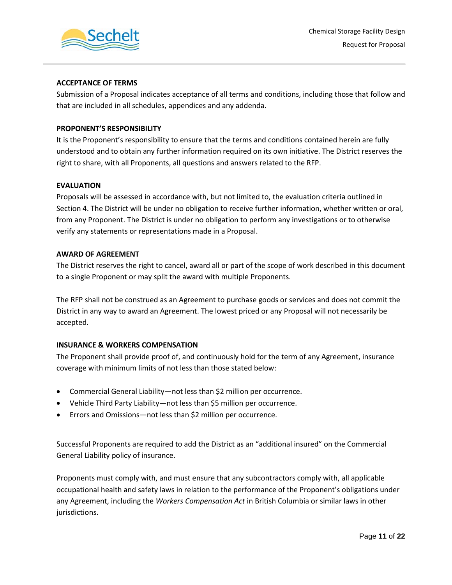

### **ACCEPTANCE OF TERMS**

Submission of a Proposal indicates acceptance of all terms and conditions, including those that follow and that are included in all schedules, appendices and any addenda.

### **PROPONENT'S RESPONSIBILITY**

It is the Proponent's responsibility to ensure that the terms and conditions contained herein are fully understood and to obtain any further information required on its own initiative. The District reserves the right to share, with all Proponents, all questions and answers related to the RFP.

### **EVALUATION**

Proposals will be assessed in accordance with, but not limited to, the evaluation criteria outlined in Section 4. The District will be under no obligation to receive further information, whether written or oral, from any Proponent. The District is under no obligation to perform any investigations or to otherwise verify any statements or representations made in a Proposal.

### **AWARD OF AGREEMENT**

The District reserves the right to cancel, award all or part of the scope of work described in this document to a single Proponent or may split the award with multiple Proponents.

The RFP shall not be construed as an Agreement to purchase goods or services and does not commit the District in any way to award an Agreement. The lowest priced or any Proposal will not necessarily be accepted.

### **INSURANCE & WORKERS COMPENSATION**

The Proponent shall provide proof of, and continuously hold for the term of any Agreement, insurance coverage with minimum limits of not less than those stated below:

- Commercial General Liability—not less than \$2 million per occurrence.
- Vehicle Third Party Liability—not less than \$5 million per occurrence.
- Errors and Omissions—not less than \$2 million per occurrence.

Successful Proponents are required to add the District as an "additional insured" on the Commercial General Liability policy of insurance.

Proponents must comply with, and must ensure that any subcontractors comply with, all applicable occupational health and safety laws in relation to the performance of the Proponent's obligations under any Agreement, including the *Workers Compensation Act* in British Columbia or similar laws in other jurisdictions.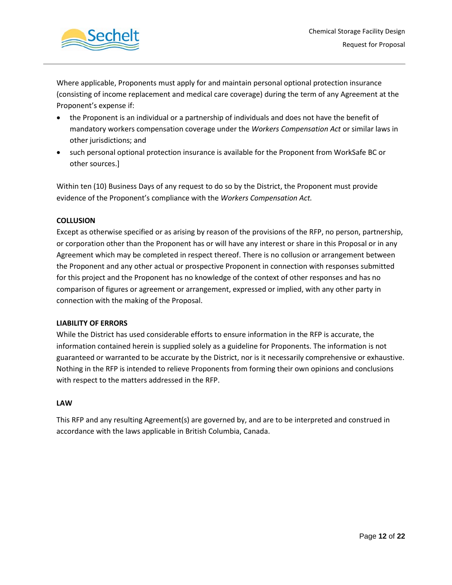

Where applicable, Proponents must apply for and maintain personal optional protection insurance (consisting of income replacement and medical care coverage) during the term of any Agreement at the Proponent's expense if:

- the Proponent is an individual or a partnership of individuals and does not have the benefit of mandatory workers compensation coverage under the *Workers Compensation Act* or similar laws in other jurisdictions; and
- such personal optional protection insurance is available for the Proponent from WorkSafe BC or other sources.]

Within ten (10) Business Days of any request to do so by the District, the Proponent must provide evidence of the Proponent's compliance with the *Workers Compensation Act.*

### **COLLUSION**

Except as otherwise specified or as arising by reason of the provisions of the RFP, no person, partnership, or corporation other than the Proponent has or will have any interest or share in this Proposal or in any Agreement which may be completed in respect thereof. There is no collusion or arrangement between the Proponent and any other actual or prospective Proponent in connection with responses submitted for this project and the Proponent has no knowledge of the context of other responses and has no comparison of figures or agreement or arrangement, expressed or implied, with any other party in connection with the making of the Proposal.

### **LIABILITY OF ERRORS**

While the District has used considerable efforts to ensure information in the RFP is accurate, the information contained herein is supplied solely as a guideline for Proponents. The information is not guaranteed or warranted to be accurate by the District, nor is it necessarily comprehensive or exhaustive. Nothing in the RFP is intended to relieve Proponents from forming their own opinions and conclusions with respect to the matters addressed in the RFP.

### **LAW**

This RFP and any resulting Agreement(s) are governed by, and are to be interpreted and construed in accordance with the laws applicable in British Columbia, Canada.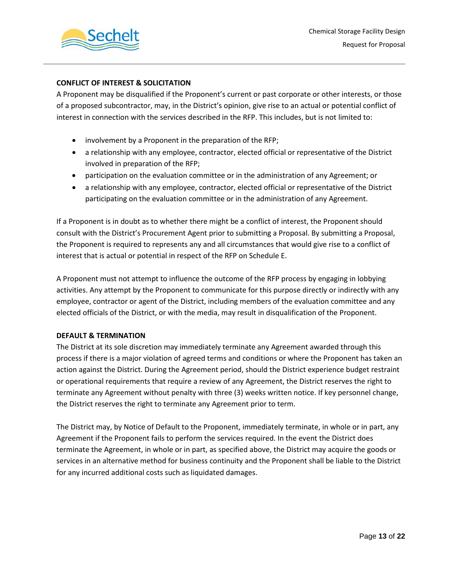

### **CONFLICT OF INTEREST & SOLICITATION**

A Proponent may be disqualified if the Proponent's current or past corporate or other interests, or those of a proposed subcontractor, may, in the District's opinion, give rise to an actual or potential conflict of interest in connection with the services described in the RFP. This includes, but is not limited to:

- involvement by a Proponent in the preparation of the RFP;
- a relationship with any employee, contractor, elected official or representative of the District involved in preparation of the RFP;
- participation on the evaluation committee or in the administration of any Agreement; or
- a relationship with any employee, contractor, elected official or representative of the District participating on the evaluation committee or in the administration of any Agreement.

If a Proponent is in doubt as to whether there might be a conflict of interest, the Proponent should consult with the District's Procurement Agent prior to submitting a Proposal. By submitting a Proposal, the Proponent is required to represents any and all circumstances that would give rise to a conflict of interest that is actual or potential in respect of the RFP on Schedule E.

A Proponent must not attempt to influence the outcome of the RFP process by engaging in lobbying activities. Any attempt by the Proponent to communicate for this purpose directly or indirectly with any employee, contractor or agent of the District, including members of the evaluation committee and any elected officials of the District, or with the media, may result in disqualification of the Proponent.

### **DEFAULT & TERMINATION**

The District at its sole discretion may immediately terminate any Agreement awarded through this process if there is a major violation of agreed terms and conditions or where the Proponent has taken an action against the District. During the Agreement period, should the District experience budget restraint or operational requirements that require a review of any Agreement, the District reserves the right to terminate any Agreement without penalty with three (3) weeks written notice. If key personnel change, the District reserves the right to terminate any Agreement prior to term.

The District may, by Notice of Default to the Proponent, immediately terminate, in whole or in part, any Agreement if the Proponent fails to perform the services required. In the event the District does terminate the Agreement, in whole or in part, as specified above, the District may acquire the goods or services in an alternative method for business continuity and the Proponent shall be liable to the District for any incurred additional costs such as liquidated damages.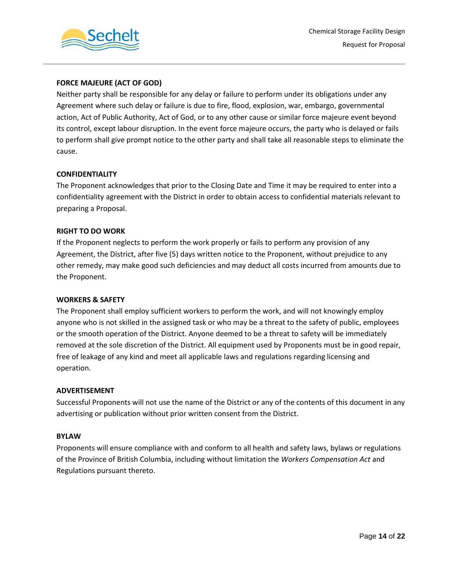

### **FORCE MAJEURE (ACT OF GOD)**

Neither party shall be responsible for any delay or failure to perform under its obligations under any Agreement where such delay or failure is due to fire, flood, explosion, war, embargo, governmental action, Act of Public Authority, Act of God, or to any other cause or similar force majeure event beyond its control, except labour disruption. In the event force majeure occurs, the party who is delayed or fails to perform shall give prompt notice to the other party and shall take all reasonable steps to eliminate the cause.

### **CONFIDENTIALITY**

The Proponent acknowledges that prior to the Closing Date and Time it may be required to enter into a confidentiality agreement with the District in order to obtain access to confidential materials relevant to preparing a Proposal.

### **RIGHT TO DO WORK**

If the Proponent neglects to perform the work properly or fails to perform any provision of any Agreement, the District, after five (5) days written notice to the Proponent, without prejudice to any other remedy, may make good such deficiencies and may deduct all costs incurred from amounts due to the Proponent.

### **WORKERS & SAFETY**

The Proponent shall employ sufficient workers to perform the work, and will not knowingly employ anyone who is not skilled in the assigned task or who may be a threat to the safety of public, employees or the smooth operation of the District. Anyone deemed to be a threat to safety will be immediately removed at the sole discretion of the District. All equipment used by Proponents must be in good repair, free of leakage of any kind and meet all applicable laws and regulations regarding licensing and operation.

### **ADVERTISEMENT**

Successful Proponents will not use the name of the District or any of the contents of this document in any advertising or publication without prior written consent from the District.

### **BYLAW**

Proponents will ensure compliance with and conform to all health and safety laws, bylaws or regulations of the Province of British Columbia, including without limitation the *Workers Compensation Act* and Regulations pursuant thereto.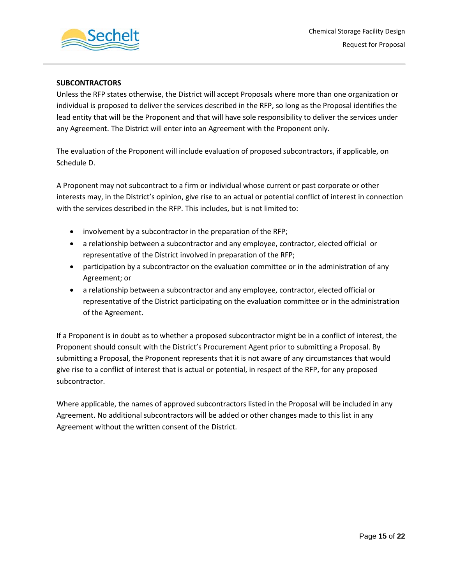

### **SUBCONTRACTORS**

Unless the RFP states otherwise, the District will accept Proposals where more than one organization or individual is proposed to deliver the services described in the RFP, so long as the Proposal identifies the lead entity that will be the Proponent and that will have sole responsibility to deliver the services under any Agreement. The District will enter into an Agreement with the Proponent only.

The evaluation of the Proponent will include evaluation of proposed subcontractors, if applicable, on Schedule D.

A Proponent may not subcontract to a firm or individual whose current or past corporate or other interests may, in the District's opinion, give rise to an actual or potential conflict of interest in connection with the services described in the RFP. This includes, but is not limited to:

- involvement by a subcontractor in the preparation of the RFP;
- a relationship between a subcontractor and any employee, contractor, elected official or representative of the District involved in preparation of the RFP;
- participation by a subcontractor on the evaluation committee or in the administration of any Agreement; or
- a relationship between a subcontractor and any employee, contractor, elected official or representative of the District participating on the evaluation committee or in the administration of the Agreement.

If a Proponent is in doubt as to whether a proposed subcontractor might be in a conflict of interest, the Proponent should consult with the District's Procurement Agent prior to submitting a Proposal. By submitting a Proposal, the Proponent represents that it is not aware of any circumstances that would give rise to a conflict of interest that is actual or potential, in respect of the RFP, for any proposed subcontractor.

Where applicable, the names of approved subcontractors listed in the Proposal will be included in any Agreement. No additional subcontractors will be added or other changes made to this list in any Agreement without the written consent of the District.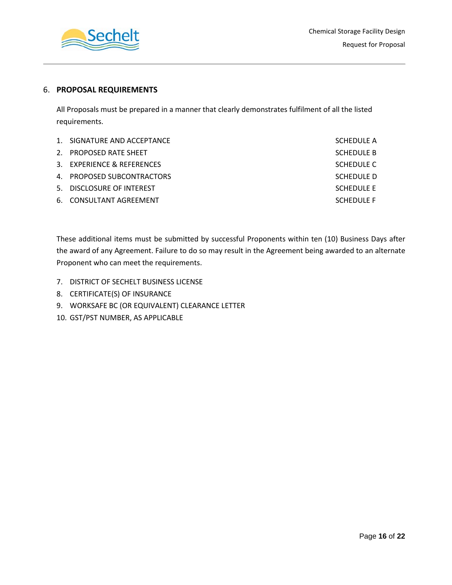

### 6. **PROPOSAL REQUIREMENTS**

All Proposals must be prepared in a manner that clearly demonstrates fulfilment of all the listed requirements.

| 1. SIGNATURE AND ACCEPTANCE | SCHEDULE A        |
|-----------------------------|-------------------|
| 2. PROPOSED RATE SHEET      | <b>SCHEDULE B</b> |
| 3. EXPERIENCE & REFERENCES  | SCHEDULE C        |
| 4. PROPOSED SUBCONTRACTORS  | SCHEDULE D        |
| 5. DISCLOSURE OF INTEREST   | SCHEDULE E        |
| 6. CONSULTANT AGREEMENT     | <b>SCHEDULE F</b> |

These additional items must be submitted by successful Proponents within ten (10) Business Days after the award of any Agreement. Failure to do so may result in the Agreement being awarded to an alternate Proponent who can meet the requirements.

- 7. DISTRICT OF SECHELT BUSINESS LICENSE
- 8. CERTIFICATE(S) OF INSURANCE
- 9. WORKSAFE BC (OR EQUIVALENT) CLEARANCE LETTER
- 10. GST/PST NUMBER, AS APPLICABLE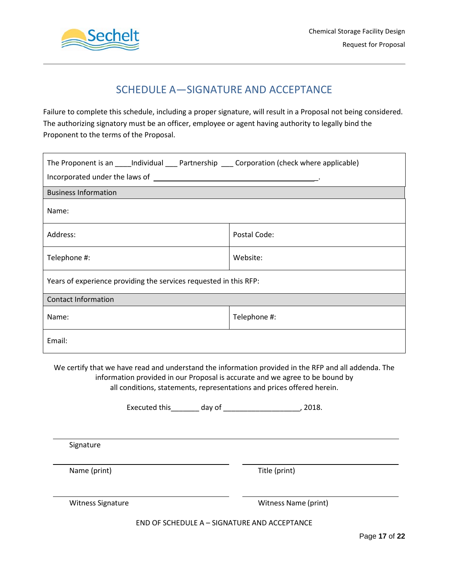

# SCHEDULE A—SIGNATURE AND ACCEPTANCE

Failure to complete this schedule, including a proper signature, will result in a Proposal not being considered. The authorizing signatory must be an officer, employee or agent having authority to legally bind the Proponent to the terms of the Proposal.

| The Proponent is an _____ Individual _____ Partnership ______ Corporation (check where applicable) |              |  |  |  |  |  |
|----------------------------------------------------------------------------------------------------|--------------|--|--|--|--|--|
|                                                                                                    |              |  |  |  |  |  |
| <b>Business Information</b>                                                                        |              |  |  |  |  |  |
| Name:                                                                                              |              |  |  |  |  |  |
| Address:                                                                                           | Postal Code: |  |  |  |  |  |
| Telephone #:                                                                                       | Website:     |  |  |  |  |  |
| Years of experience providing the services requested in this RFP:                                  |              |  |  |  |  |  |
| <b>Contact Information</b>                                                                         |              |  |  |  |  |  |
| Name:                                                                                              | Telephone #: |  |  |  |  |  |
| Email:                                                                                             |              |  |  |  |  |  |

We certify that we have read and understand the information provided in the RFP and all addenda. The information provided in our Proposal is accurate and we agree to be bound by all conditions, statements, representations and prices offered herein.

Executed this\_\_\_\_\_\_\_ day of \_\_\_\_\_\_\_\_\_\_\_\_\_\_\_\_\_\_\_, 2018.

Signature

Name (print) Title (print)

Witness Signature Witness Name (print)

END OF SCHEDULE A – SIGNATURE AND ACCEPTANCE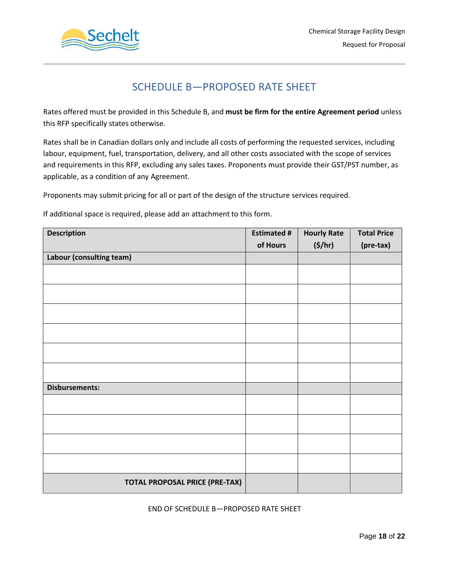

# SCHEDULE B—PROPOSED RATE SHEET

Rates offered must be provided in this Schedule B, and **must be firm for the entire Agreement period** unless this RFP specifically states otherwise.

Rates shall be in Canadian dollars only and include all costs of performing the requested services, including labour, equipment, fuel, transportation, delivery, and all other costs associated with the scope of services and requirements in this RFP, excluding any sales taxes. Proponents must provide their GST/PST number, as applicable, as a condition of any Agreement.

Proponents may submit pricing for all or part of the design of the structure services required.

If additional space is required, please add an attachment to this form.

| <b>Description</b>                    | <b>Estimated #</b> | <b>Hourly Rate</b> | <b>Total Price</b> |
|---------------------------------------|--------------------|--------------------|--------------------|
|                                       | of Hours           | (5/hr)             | (pre-tax)          |
| Labour (consulting team)              |                    |                    |                    |
|                                       |                    |                    |                    |
|                                       |                    |                    |                    |
|                                       |                    |                    |                    |
|                                       |                    |                    |                    |
|                                       |                    |                    |                    |
|                                       |                    |                    |                    |
| <b>Disbursements:</b>                 |                    |                    |                    |
|                                       |                    |                    |                    |
|                                       |                    |                    |                    |
|                                       |                    |                    |                    |
|                                       |                    |                    |                    |
| <b>TOTAL PROPOSAL PRICE (PRE-TAX)</b> |                    |                    |                    |

### END OF SCHEDULE B—PROPOSED RATE SHEET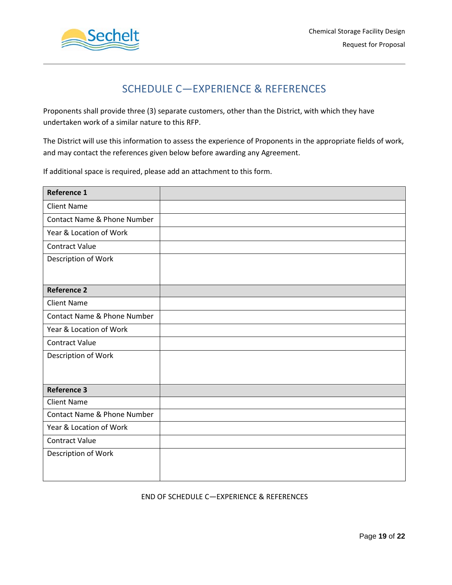

# SCHEDULE C—EXPERIENCE & REFERENCES

Proponents shall provide three (3) separate customers, other than the District, with which they have undertaken work of a similar nature to this RFP.

The District will use this information to assess the experience of Proponents in the appropriate fields of work, and may contact the references given below before awarding any Agreement.

If additional space is required, please add an attachment to this form.

| <b>Reference 1</b>          |  |
|-----------------------------|--|
| <b>Client Name</b>          |  |
| Contact Name & Phone Number |  |
| Year & Location of Work     |  |
| <b>Contract Value</b>       |  |
| Description of Work         |  |
|                             |  |
| <b>Reference 2</b>          |  |
| <b>Client Name</b>          |  |
| Contact Name & Phone Number |  |
| Year & Location of Work     |  |
| <b>Contract Value</b>       |  |
| Description of Work         |  |
|                             |  |
|                             |  |
| <b>Reference 3</b>          |  |
| <b>Client Name</b>          |  |
| Contact Name & Phone Number |  |
| Year & Location of Work     |  |
| <b>Contract Value</b>       |  |
| Description of Work         |  |
|                             |  |
|                             |  |

### END OF SCHEDULE C—EXPERIENCE & REFERENCES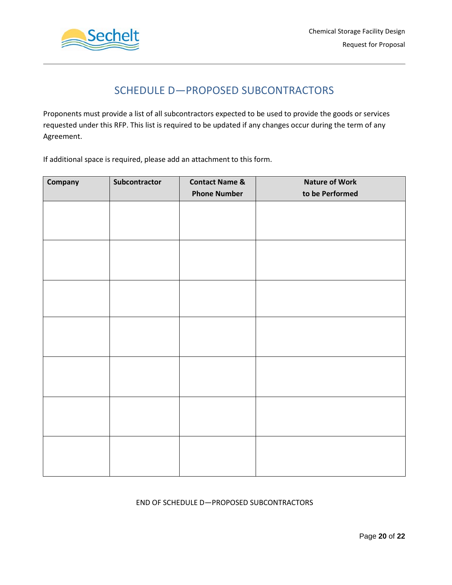



# SCHEDULE D—PROPOSED SUBCONTRACTORS

Proponents must provide a list of all subcontractors expected to be used to provide the goods or services requested under this RFP. This list is required to be updated if any changes occur during the term of any Agreement.

If additional space is required, please add an attachment to this form.

| Company | Subcontractor | <b>Contact Name &amp;</b> | <b>Nature of Work</b> |  |  |
|---------|---------------|---------------------------|-----------------------|--|--|
|         |               | <b>Phone Number</b>       | to be Performed       |  |  |
|         |               |                           |                       |  |  |
|         |               |                           |                       |  |  |
|         |               |                           |                       |  |  |
|         |               |                           |                       |  |  |
|         |               |                           |                       |  |  |
|         |               |                           |                       |  |  |
|         |               |                           |                       |  |  |
|         |               |                           |                       |  |  |
|         |               |                           |                       |  |  |
|         |               |                           |                       |  |  |
|         |               |                           |                       |  |  |
|         |               |                           |                       |  |  |
|         |               |                           |                       |  |  |
|         |               |                           |                       |  |  |
|         |               |                           |                       |  |  |
|         |               |                           |                       |  |  |
|         |               |                           |                       |  |  |
|         |               |                           |                       |  |  |
|         |               |                           |                       |  |  |
|         |               |                           |                       |  |  |
|         |               |                           |                       |  |  |

### END OF SCHEDULE D—PROPOSED SUBCONTRACTORS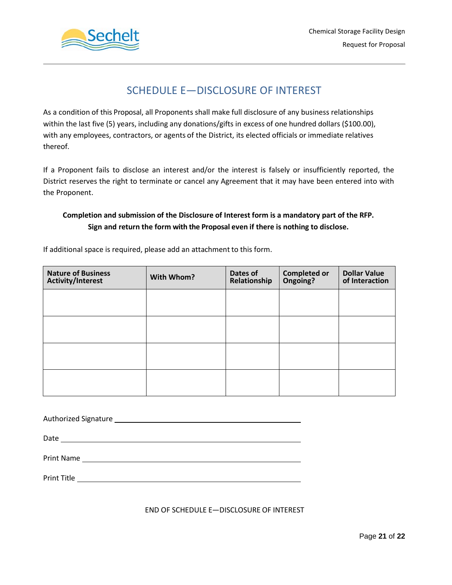



# SCHEDULE E—DISCLOSURE OF INTEREST

As a condition of this Proposal, all Proponents shall make full disclosure of any business relationships within the last five (5) years, including any donations/gifts in excess of one hundred dollars (\$100.00), with any employees, contractors, or agents of the District, its elected officials or immediate relatives thereof.

If a Proponent fails to disclose an interest and/or the interest is falsely or insufficiently reported, the District reserves the right to terminate or cancel any Agreement that it may have been entered into with the Proponent.

### **Completion and submission of the Disclosure of Interest form is a mandatory part of the RFP. Sign and return the form with the Proposal even if there is nothing to disclose.**

If additional space is required, please add an attachment to this form.

| <b>Nature of Business</b><br><b>Activity/Interest</b> | With Whom? | Dates of<br>Relationship | <b>Completed or<br/>Ongoing?</b> | <b>Dollar Value</b><br>of Interaction |
|-------------------------------------------------------|------------|--------------------------|----------------------------------|---------------------------------------|
|                                                       |            |                          |                                  |                                       |
|                                                       |            |                          |                                  |                                       |
|                                                       |            |                          |                                  |                                       |
|                                                       |            |                          |                                  |                                       |

Authorized Signature

Date

Print Name

Print Title **Exercise Contract Contract Contract Contract Contract Contract Contract Contract Contract Contract Contract Contract Contract Contract Contract Contract Contract Contract Contract Contract Contract Contract Co** 

END OF SCHEDULE E—DISCLOSURE OF INTEREST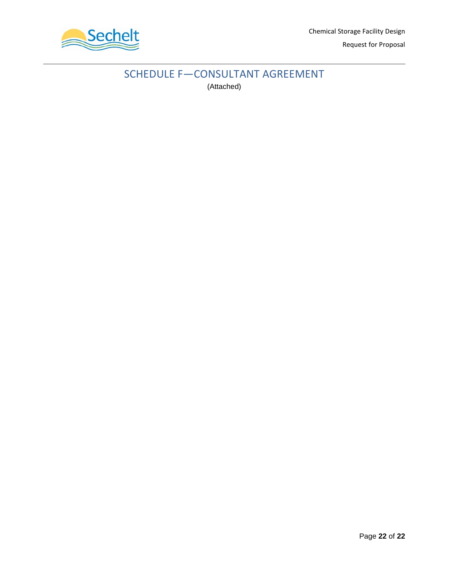

# SCHEDULE F—CONSULTANT AGREEMENT (Attached)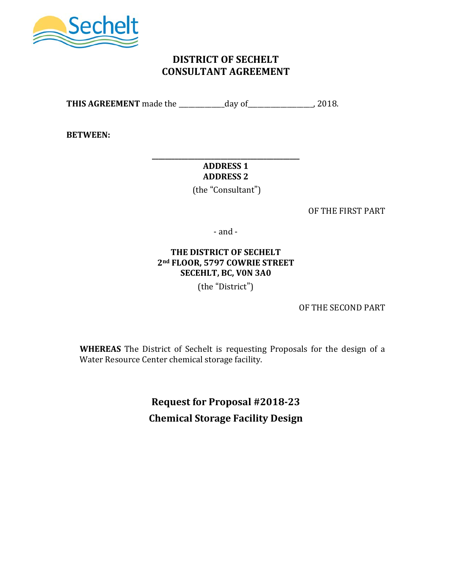

## **DISTRICT OF SECHELT CONSULTANT AGREEMENT**

**THIS AGREEMENT** made the \_\_\_\_\_\_\_\_\_\_\_\_\_\_day of\_\_\_\_\_\_\_\_\_\_\_\_\_\_\_\_\_\_\_\_, 2018.

**BETWEEN:**

### **\_\_\_\_\_\_\_\_\_\_\_\_\_\_\_\_\_\_\_\_\_\_\_\_\_\_\_\_\_\_\_\_\_\_\_\_\_\_\_\_\_\_\_\_\_ ADDRESS 1 ADDRESS 2**

(the "Consultant")

OF THE FIRST PART

- and -

### **THE DISTRICT OF SECHELT 2nd FLOOR, 5797 COWRIE STREET SECEHLT, BC, V0N 3A0**

(the "District")

OF THE SECOND PART

**WHEREAS** The District of Sechelt is requesting Proposals for the design of a Water Resource Center chemical storage facility.

> **Request for Proposal #2018-23 Chemical Storage Facility Design**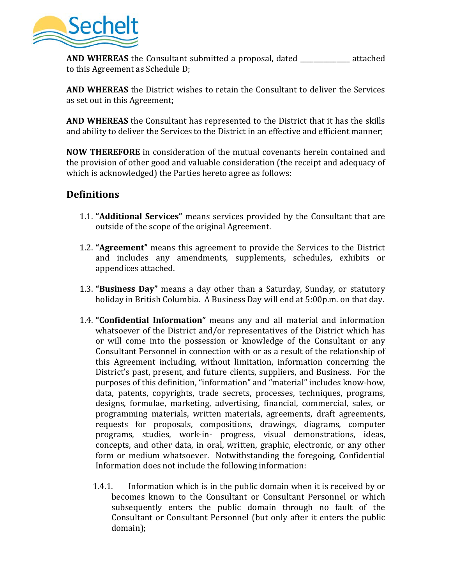

**AND WHEREAS** the Consultant submitted a proposal, dated **a** attached to this Agreement as Schedule D;

**AND WHEREAS** the District wishes to retain the Consultant to deliver the Services as set out in this Agreement;

**AND WHEREAS** the Consultant has represented to the District that it has the skills and ability to deliver the Services to the District in an effective and efficient manner;

**NOW THEREFORE** in consideration of the mutual covenants herein contained and the provision of other good and valuable consideration (the receipt and adequacy of which is acknowledged) the Parties hereto agree as follows:

## **Definitions**

- 1.1. **"Additional Services"** means services provided by the Consultant that are outside of the scope of the original Agreement.
- 1.2. **"Agreement"** means this agreement to provide the Services to the District and includes any amendments, supplements, schedules, exhibits or appendices attached.
- 1.3. **"Business Day"** means a day other than a Saturday, Sunday, or statutory holiday in British Columbia. A Business Day will end at 5:00p.m. on that day.
- 1.4. **"Confidential Information"** means any and all material and information whatsoever of the District and/or representatives of the District which has or will come into the possession or knowledge of the Consultant or any Consultant Personnel in connection with or as a result of the relationship of this Agreement including, without limitation, information concerning the District's past, present, and future clients, suppliers, and Business. For the purposes of this definition, "information" and "material" includes know-how, data, patents, copyrights, trade secrets, processes, techniques, programs, designs, formulae, marketing, advertising, financial, commercial, sales, or programming materials, written materials, agreements, draft agreements, requests for proposals, compositions, drawings, diagrams, computer programs, studies, work-in- progress, visual demonstrations, ideas, concepts, and other data, in oral, written, graphic, electronic, or any other form or medium whatsoever. Notwithstanding the foregoing, Confidential Information does not include the following information:
	- 1.4.1. Information which is in the public domain when it is received by or becomes known to the Consultant or Consultant Personnel or which subsequently enters the public domain through no fault of the Consultant or Consultant Personnel (but only after it enters the public domain);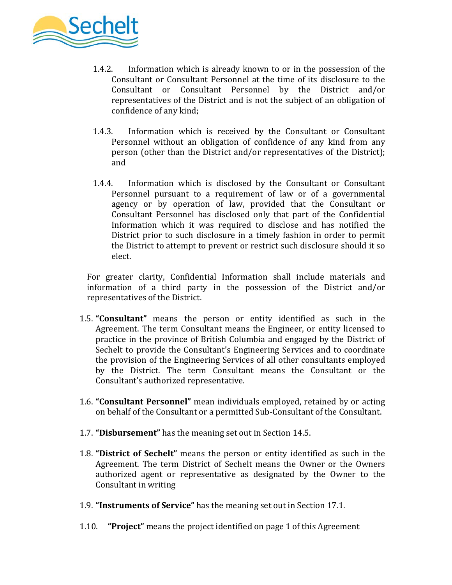

- 1.4.2. Information which is already known to or in the possession of the Consultant or Consultant Personnel at the time of its disclosure to the Consultant or Consultant Personnel by the District and/or representatives of the District and is not the subject of an obligation of confidence of any kind;
- 1.4.3. Information which is received by the Consultant or Consultant Personnel without an obligation of confidence of any kind from any person (other than the District and/or representatives of the District); and
- 1.4.4. Information which is disclosed by the Consultant or Consultant Personnel pursuant to a requirement of law or of a governmental agency or by operation of law, provided that the Consultant or Consultant Personnel has disclosed only that part of the Confidential Information which it was required to disclose and has notified the District prior to such disclosure in a timely fashion in order to permit the District to attempt to prevent or restrict such disclosure should it so elect.

For greater clarity, Confidential Information shall include materials and information of a third party in the possession of the District and/or representatives of the District.

- 1.5. **"Consultant"** means the person or entity identified as such in the Agreement. The term Consultant means the Engineer, or entity licensed to practice in the province of British Columbia and engaged by the District of Sechelt to provide the Consultant's Engineering Services and to coordinate the provision of the Engineering Services of all other consultants employed by the District. The term Consultant means the Consultant or the Consultant's authorized representative.
- 1.6. **"Consultant Personnel"** mean individuals employed, retained by or acting on behalf of the Consultant or a permitted Sub-Consultant of the Consultant.
- 1.7. **"Disbursement"** has the meaning set out in Section 14.5.
- 1.8. **"District of Sechelt"** means the person or entity identified as such in the Agreement. The term District of Sechelt means the Owner or the Owners authorized agent or representative as designated by the Owner to the Consultant in writing
- 1.9. **"Instruments of Service"** has the meaning set out in Section 17.1.
- 1.10. **"Project"** means the project identified on page 1 of this Agreement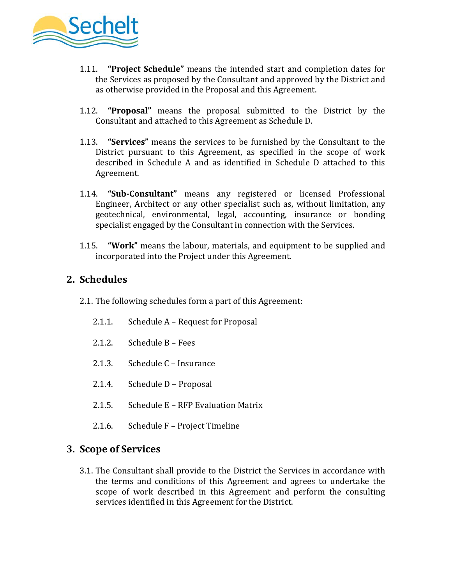

- 1.11. **"Project Schedule"** means the intended start and completion dates for the Services as proposed by the Consultant and approved by the District and as otherwise provided in the Proposal and this Agreement.
- 1.12. **"Proposal"** means the proposal submitted to the District by the Consultant and attached to this Agreement as Schedule D.
- 1.13. **"Services"** means the services to be furnished by the Consultant to the District pursuant to this Agreement, as specified in the scope of work described in Schedule A and as identified in Schedule D attached to this Agreement.
- 1.14. **"Sub-Consultant"** means any registered or licensed Professional Engineer, Architect or any other specialist such as, without limitation, any geotechnical, environmental, legal, accounting, insurance or bonding specialist engaged by the Consultant in connection with the Services.
- 1.15. **"Work"** means the labour, materials, and equipment to be supplied and incorporated into the Project under this Agreement.

# **2. Schedules**

- 2.1. The following schedules form a part of this Agreement:
	- 2.1.1. Schedule A Request for Proposal
	- 2.1.2. Schedule B Fees
	- 2.1.3. Schedule C Insurance
	- 2.1.4. Schedule D Proposal
	- 2.1.5. Schedule E RFP Evaluation Matrix
	- 2.1.6. Schedule F Project Timeline

## **3. Scope of Services**

3.1. The Consultant shall provide to the District the Services in accordance with the terms and conditions of this Agreement and agrees to undertake the scope of work described in this Agreement and perform the consulting services identified in this Agreement for the District.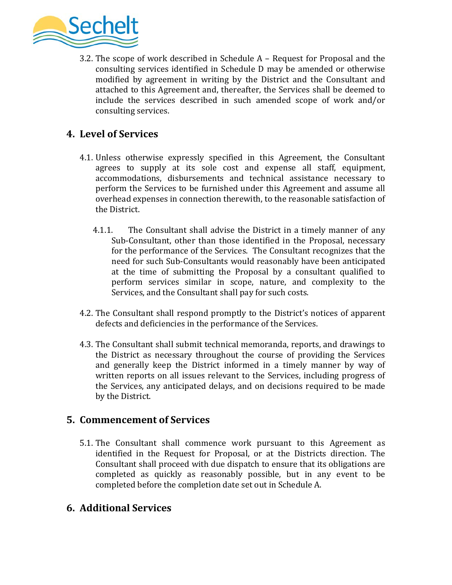

3.2. The scope of work described in Schedule A – Request for Proposal and the consulting services identified in Schedule D may be amended or otherwise modified by agreement in writing by the District and the Consultant and attached to this Agreement and, thereafter, the Services shall be deemed to include the services described in such amended scope of work and/or consulting services.

## **4. Level of Services**

- 4.1. Unless otherwise expressly specified in this Agreement, the Consultant agrees to supply at its sole cost and expense all staff, equipment, accommodations, disbursements and technical assistance necessary to perform the Services to be furnished under this Agreement and assume all overhead expenses in connection therewith, to the reasonable satisfaction of the District.
	- 4.1.1. The Consultant shall advise the District in a timely manner of any Sub-Consultant, other than those identified in the Proposal, necessary for the performance of the Services. The Consultant recognizes that the need for such Sub-Consultants would reasonably have been anticipated at the time of submitting the Proposal by a consultant qualified to perform services similar in scope, nature, and complexity to the Services, and the Consultant shall pay for such costs.
- 4.2. The Consultant shall respond promptly to the District's notices of apparent defects and deficiencies in the performance of the Services.
- 4.3. The Consultant shall submit technical memoranda, reports, and drawings to the District as necessary throughout the course of providing the Services and generally keep the District informed in a timely manner by way of written reports on all issues relevant to the Services, including progress of the Services, any anticipated delays, and on decisions required to be made by the District.

## **5. Commencement of Services**

5.1. The Consultant shall commence work pursuant to this Agreement as identified in the Request for Proposal, or at the Districts direction. The Consultant shall proceed with due dispatch to ensure that its obligations are completed as quickly as reasonably possible, but in any event to be completed before the completion date set out in Schedule A.

## **6. Additional Services**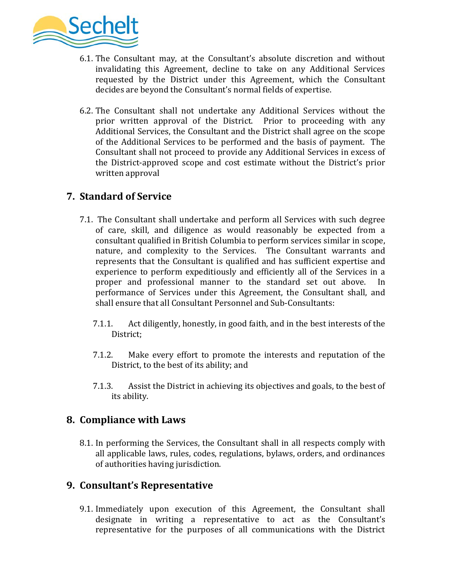

- 6.1. The Consultant may, at the Consultant's absolute discretion and without invalidating this Agreement, decline to take on any Additional Services requested by the District under this Agreement, which the Consultant decides are beyond the Consultant's normal fields of expertise.
- 6.2. The Consultant shall not undertake any Additional Services without the prior written approval of the District. Prior to proceeding with any Additional Services, the Consultant and the District shall agree on the scope of the Additional Services to be performed and the basis of payment. The Consultant shall not proceed to provide any Additional Services in excess of the District-approved scope and cost estimate without the District's prior written approval

# **7. Standard of Service**

- 7.1. The Consultant shall undertake and perform all Services with such degree of care, skill, and diligence as would reasonably be expected from a consultant qualified in British Columbia to perform services similar in scope, nature, and complexity to the Services. The Consultant warrants and represents that the Consultant is qualified and has sufficient expertise and experience to perform expeditiously and efficiently all of the Services in a proper and professional manner to the standard set out above. In proper and professional manner to the standard set out above. performance of Services under this Agreement, the Consultant shall, and shall ensure that all Consultant Personnel and Sub-Consultants:
	- 7.1.1. Act diligently, honestly, in good faith, and in the best interests of the District;
	- 7.1.2. Make every effort to promote the interests and reputation of the District, to the best of its ability; and
	- 7.1.3. Assist the District in achieving its objectives and goals, to the best of its ability.

## **8. Compliance with Laws**

8.1. In performing the Services, the Consultant shall in all respects comply with all applicable laws, rules, codes, regulations, bylaws, orders, and ordinances of authorities having jurisdiction.

## **9. Consultant's Representative**

9.1. Immediately upon execution of this Agreement, the Consultant shall designate in writing a representative to act as the Consultant's representative for the purposes of all communications with the District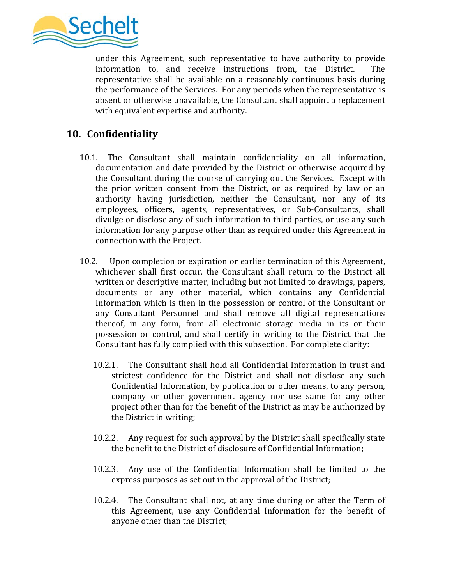

under this Agreement, such representative to have authority to provide information to, and receive instructions from, the District. The information to, and receive instructions from, the District. representative shall be available on a reasonably continuous basis during the performance of the Services. For any periods when the representative is absent or otherwise unavailable, the Consultant shall appoint a replacement with equivalent expertise and authority.

# **10. Confidentiality**

- 10.1. The Consultant shall maintain confidentiality on all information, documentation and date provided by the District or otherwise acquired by the Consultant during the course of carrying out the Services. Except with the prior written consent from the District, or as required by law or an authority having jurisdiction, neither the Consultant, nor any of its employees, officers, agents, representatives, or Sub-Consultants, shall divulge or disclose any of such information to third parties, or use any such information for any purpose other than as required under this Agreement in connection with the Project.
- 10.2. Upon completion or expiration or earlier termination of this Agreement, whichever shall first occur, the Consultant shall return to the District all written or descriptive matter, including but not limited to drawings, papers, documents or any other material, which contains any Confidential Information which is then in the possession or control of the Consultant or any Consultant Personnel and shall remove all digital representations thereof, in any form, from all electronic storage media in its or their possession or control, and shall certify in writing to the District that the Consultant has fully complied with this subsection. For complete clarity:
	- 10.2.1. The Consultant shall hold all Confidential Information in trust and strictest confidence for the District and shall not disclose any such Confidential Information, by publication or other means, to any person, company or other government agency nor use same for any other project other than for the benefit of the District as may be authorized by the District in writing;
	- 10.2.2. Any request for such approval by the District shall specifically state the benefit to the District of disclosure of Confidential Information;
	- 10.2.3. Any use of the Confidential Information shall be limited to the express purposes as set out in the approval of the District;
	- 10.2.4. The Consultant shall not, at any time during or after the Term of this Agreement, use any Confidential Information for the benefit of anyone other than the District;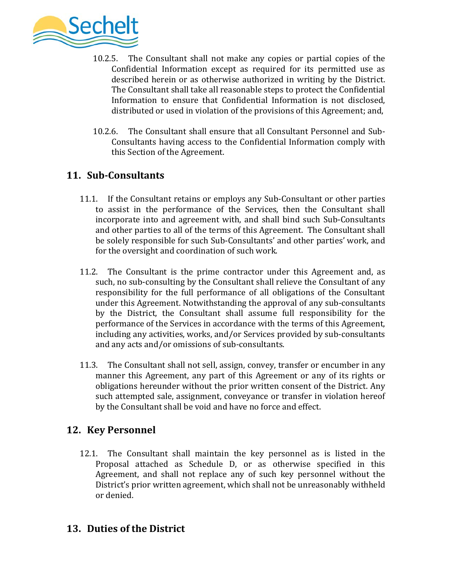

- 10.2.5. The Consultant shall not make any copies or partial copies of the Confidential Information except as required for its permitted use as described herein or as otherwise authorized in writing by the District. The Consultant shall take all reasonable steps to protect the Confidential Information to ensure that Confidential Information is not disclosed, distributed or used in violation of the provisions of this Agreement; and,
- 10.2.6. The Consultant shall ensure that all Consultant Personnel and Sub-Consultants having access to the Confidential Information comply with this Section of the Agreement.

# **11. Sub-Consultants**

- 11.1. If the Consultant retains or employs any Sub-Consultant or other parties to assist in the performance of the Services, then the Consultant shall incorporate into and agreement with, and shall bind such Sub-Consultants and other parties to all of the terms of this Agreement. The Consultant shall be solely responsible for such Sub-Consultants' and other parties' work, and for the oversight and coordination of such work.
- 11.2. The Consultant is the prime contractor under this Agreement and, as such, no sub-consulting by the Consultant shall relieve the Consultant of any responsibility for the full performance of all obligations of the Consultant under this Agreement. Notwithstanding the approval of any sub-consultants by the District, the Consultant shall assume full responsibility for the performance of the Services in accordance with the terms of this Agreement, including any activities, works, and/or Services provided by sub-consultants and any acts and/or omissions of sub-consultants.
- 11.3. The Consultant shall not sell, assign, convey, transfer or encumber in any manner this Agreement, any part of this Agreement or any of its rights or obligations hereunder without the prior written consent of the District. Any such attempted sale, assignment, conveyance or transfer in violation hereof by the Consultant shall be void and have no force and effect.

## **12. Key Personnel**

12.1. The Consultant shall maintain the key personnel as is listed in the Proposal attached as Schedule D, or as otherwise specified in this Agreement, and shall not replace any of such key personnel without the District's prior written agreement, which shall not be unreasonably withheld or denied.

## **13. Duties of the District**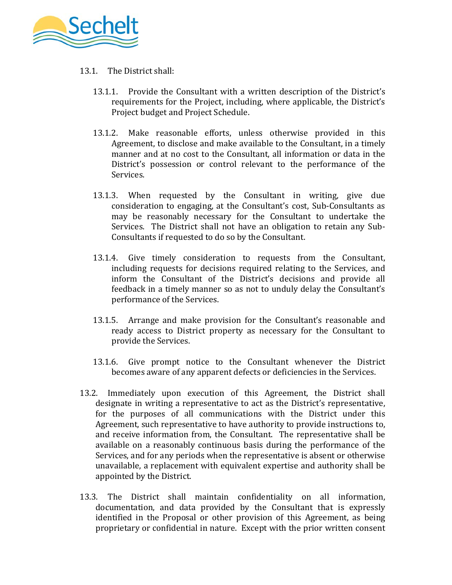

- 13.1. The District shall:
	- 13.1.1. Provide the Consultant with a written description of the District's requirements for the Project, including, where applicable, the District's Project budget and Project Schedule.
	- 13.1.2. Make reasonable efforts, unless otherwise provided in this Agreement, to disclose and make available to the Consultant, in a timely manner and at no cost to the Consultant, all information or data in the District's possession or control relevant to the performance of the Services.
	- 13.1.3. When requested by the Consultant in writing, give due consideration to engaging, at the Consultant's cost, Sub-Consultants as may be reasonably necessary for the Consultant to undertake the Services. The District shall not have an obligation to retain any Sub-Consultants if requested to do so by the Consultant.
	- 13.1.4. Give timely consideration to requests from the Consultant, including requests for decisions required relating to the Services, and inform the Consultant of the District's decisions and provide all feedback in a timely manner so as not to unduly delay the Consultant's performance of the Services.
	- 13.1.5. Arrange and make provision for the Consultant's reasonable and ready access to District property as necessary for the Consultant to provide the Services.
	- 13.1.6. Give prompt notice to the Consultant whenever the District becomes aware of any apparent defects or deficiencies in the Services.
- 13.2. Immediately upon execution of this Agreement, the District shall designate in writing a representative to act as the District's representative, for the purposes of all communications with the District under this Agreement, such representative to have authority to provide instructions to, and receive information from, the Consultant. The representative shall be available on a reasonably continuous basis during the performance of the Services, and for any periods when the representative is absent or otherwise unavailable, a replacement with equivalent expertise and authority shall be appointed by the District.
- 13.3. The District shall maintain confidentiality on all information, documentation, and data provided by the Consultant that is expressly identified in the Proposal or other provision of this Agreement, as being proprietary or confidential in nature. Except with the prior written consent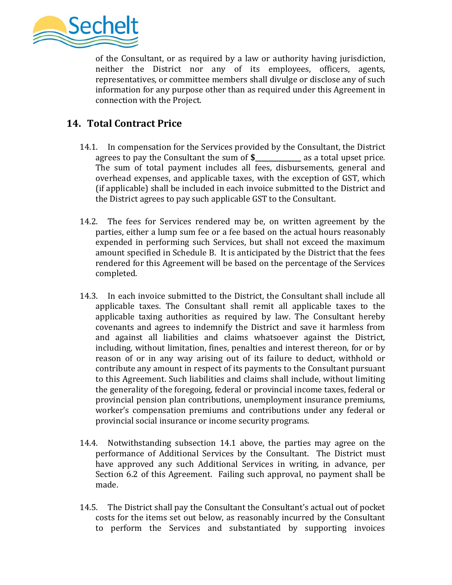

of the Consultant, or as required by a law or authority having jurisdiction, neither the District nor any of its employees, officers, agents, representatives, or committee members shall divulge or disclose any of such information for any purpose other than as required under this Agreement in connection with the Project.

# **14. Total Contract Price**

- 14.1. In compensation for the Services provided by the Consultant, the District agrees to pay the Consultant the sum of **\$\_\_\_\_\_\_\_\_\_\_\_\_\_\_** as a total upset price*.*  The sum of total payment includes all fees, disbursements, general and overhead expenses, and applicable taxes, with the exception of GST, which (if applicable) shall be included in each invoice submitted to the District and the District agrees to pay such applicable GST to the Consultant.
- 14.2. The fees for Services rendered may be, on written agreement by the parties, either a lump sum fee or a fee based on the actual hours reasonably expended in performing such Services, but shall not exceed the maximum amount specified in Schedule B. It is anticipated by the District that the fees rendered for this Agreement will be based on the percentage of the Services completed.
- 14.3. In each invoice submitted to the District, the Consultant shall include all applicable taxes. The Consultant shall remit all applicable taxes to the applicable taxing authorities as required by law. The Consultant hereby covenants and agrees to indemnify the District and save it harmless from and against all liabilities and claims whatsoever against the District, including, without limitation, fines, penalties and interest thereon, for or by reason of or in any way arising out of its failure to deduct, withhold or contribute any amount in respect of its payments to the Consultant pursuant to this Agreement. Such liabilities and claims shall include, without limiting the generality of the foregoing, federal or provincial income taxes, federal or provincial pension plan contributions, unemployment insurance premiums, worker's compensation premiums and contributions under any federal or provincial social insurance or income security programs.
- 14.4. Notwithstanding subsection 14.1 above, the parties may agree on the performance of Additional Services by the Consultant. The District must have approved any such Additional Services in writing, in advance, per Section 6.2 of this Agreement. Failing such approval, no payment shall be made.
- 14.5. The District shall pay the Consultant the Consultant's actual out of pocket costs for the items set out below, as reasonably incurred by the Consultant to perform the Services and substantiated by supporting invoices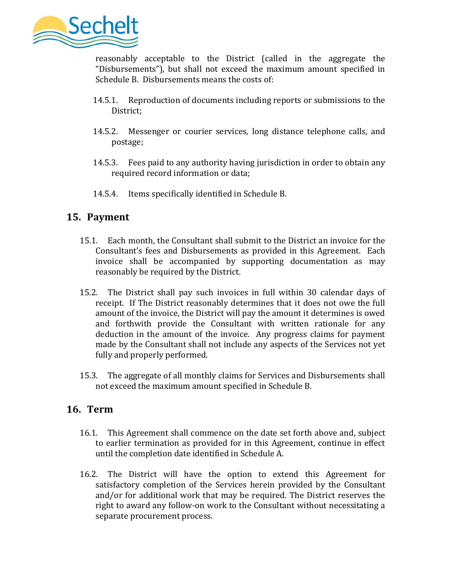

reasonably acceptable to the District (called in the aggregate the "Disbursements"), but shall not exceed the maximum amount specified in Schedule B. Disbursements means the costs of:

- 14.5.1. Reproduction of documents including reports or submissions to the District;
- 14.5.2. Messenger or courier services, long distance telephone calls, and postage;
- 14.5.3. Fees paid to any authority having jurisdiction in order to obtain any required record information or data;
- 14.5.4. Items specifically identified in Schedule B.

## **15. Payment**

- 15.1. Each month, the Consultant shall submit to the District an invoice for the Consultant's fees and Disbursements as provided in this Agreement. Each invoice shall be accompanied by supporting documentation as may reasonably be required by the District.
- 15.2. The District shall pay such invoices in full within 30 calendar days of receipt. If The District reasonably determines that it does not owe the full amount of the invoice, the District will pay the amount it determines is owed and forthwith provide the Consultant with written rationale for any deduction in the amount of the invoice. Any progress claims for payment made by the Consultant shall not include any aspects of the Services not yet fully and properly performed.
- 15.3. The aggregate of all monthly claims for Services and Disbursements shall not exceed the maximum amount specified in Schedule B.

## **16. Term**

- 16.1. This Agreement shall commence on the date set forth above and, subject to earlier termination as provided for in this Agreement, continue in effect until the completion date identified in Schedule A.
- 16.2. The District will have the option to extend this Agreement for satisfactory completion of the Services herein provided by the Consultant and/or for additional work that may be required. The District reserves the right to award any follow-on work to the Consultant without necessitating a separate procurement process.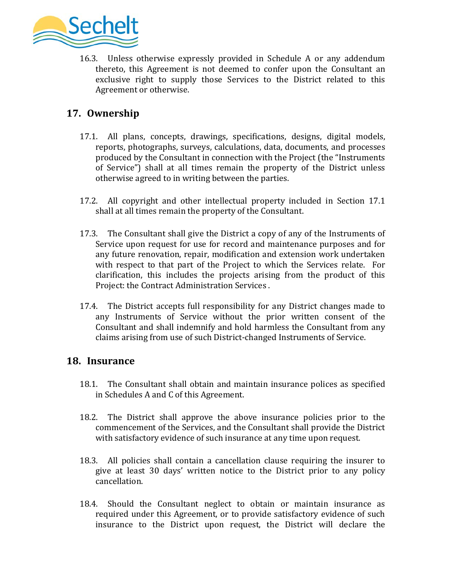

16.3. Unless otherwise expressly provided in Schedule A or any addendum thereto, this Agreement is not deemed to confer upon the Consultant an exclusive right to supply those Services to the District related to this Agreement or otherwise.

## **17. Ownership**

- 17.1. All plans, concepts, drawings, specifications, designs, digital models, reports, photographs, surveys, calculations, data, documents, and processes produced by the Consultant in connection with the Project (the "Instruments of Service") shall at all times remain the property of the District unless otherwise agreed to in writing between the parties.
- 17.2. All copyright and other intellectual property included in Section 17.1 shall at all times remain the property of the Consultant.
- 17.3. The Consultant shall give the District a copy of any of the Instruments of Service upon request for use for record and maintenance purposes and for any future renovation, repair, modification and extension work undertaken with respect to that part of the Project to which the Services relate. For clarification, this includes the projects arising from the product of this Project: the Contract Administration Services .
- 17.4. The District accepts full responsibility for any District changes made to any Instruments of Service without the prior written consent of the Consultant and shall indemnify and hold harmless the Consultant from any claims arising from use of such District-changed Instruments of Service.

### **18. Insurance**

- 18.1. The Consultant shall obtain and maintain insurance polices as specified in Schedules A and C of this Agreement.
- 18.2. The District shall approve the above insurance policies prior to the commencement of the Services, and the Consultant shall provide the District with satisfactory evidence of such insurance at any time upon request.
- 18.3. All policies shall contain a cancellation clause requiring the insurer to give at least 30 days' written notice to the District prior to any policy cancellation.
- 18.4. Should the Consultant neglect to obtain or maintain insurance as required under this Agreement, or to provide satisfactory evidence of such insurance to the District upon request, the District will declare the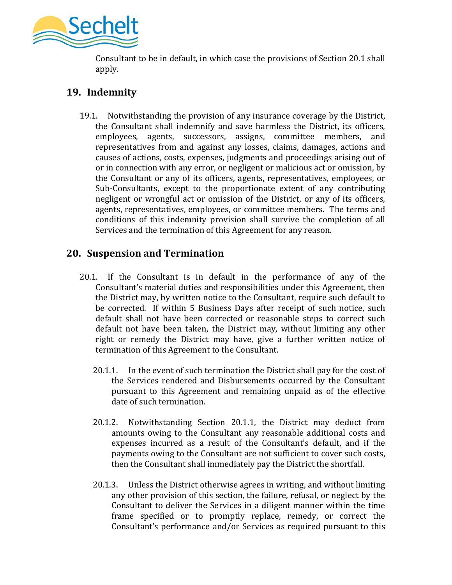

Consultant to be in default, in which case the provisions of Section 20.1 shall apply.

# **19. Indemnity**

19.1. Notwithstanding the provision of any insurance coverage by the District, the Consultant shall indemnify and save harmless the District, its officers, employees, agents, successors, assigns, committee members, and representatives from and against any losses, claims, damages, actions and causes of actions, costs, expenses, judgments and proceedings arising out of or in connection with any error, or negligent or malicious act or omission, by the Consultant or any of its officers, agents, representatives, employees, or Sub-Consultants, except to the proportionate extent of any contributing negligent or wrongful act or omission of the District, or any of its officers, agents, representatives, employees, or committee members. The terms and conditions of this indemnity provision shall survive the completion of all Services and the termination of this Agreement for any reason.

# **20. Suspension and Termination**

- 20.1. If the Consultant is in default in the performance of any of the Consultant's material duties and responsibilities under this Agreement, then the District may, by written notice to the Consultant, require such default to be corrected. If within 5 Business Days after receipt of such notice, such default shall not have been corrected or reasonable steps to correct such default not have been taken, the District may, without limiting any other right or remedy the District may have, give a further written notice of termination of this Agreement to the Consultant.
	- 20.1.1. In the event of such termination the District shall pay for the cost of the Services rendered and Disbursements occurred by the Consultant pursuant to this Agreement and remaining unpaid as of the effective date of such termination.
	- 20.1.2. Notwithstanding Section 20.1.1, the District may deduct from amounts owing to the Consultant any reasonable additional costs and expenses incurred as a result of the Consultant's default, and if the payments owing to the Consultant are not sufficient to cover such costs, then the Consultant shall immediately pay the District the shortfall.
	- 20.1.3. Unless the District otherwise agrees in writing, and without limiting any other provision of this section, the failure, refusal, or neglect by the Consultant to deliver the Services in a diligent manner within the time frame specified or to promptly replace, remedy, or correct the Consultant's performance and/or Services as required pursuant to this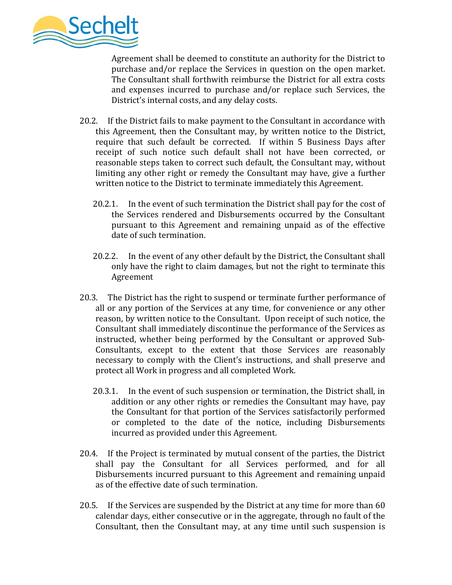

Agreement shall be deemed to constitute an authority for the District to purchase and/or replace the Services in question on the open market. The Consultant shall forthwith reimburse the District for all extra costs and expenses incurred to purchase and/or replace such Services, the District's internal costs, and any delay costs.

- 20.2. If the District fails to make payment to the Consultant in accordance with this Agreement, then the Consultant may, by written notice to the District, require that such default be corrected. If within 5 Business Days after receipt of such notice such default shall not have been corrected, or reasonable steps taken to correct such default, the Consultant may, without limiting any other right or remedy the Consultant may have, give a further written notice to the District to terminate immediately this Agreement.
	- 20.2.1. In the event of such termination the District shall pay for the cost of the Services rendered and Disbursements occurred by the Consultant pursuant to this Agreement and remaining unpaid as of the effective date of such termination.
	- 20.2.2. In the event of any other default by the District, the Consultant shall only have the right to claim damages, but not the right to terminate this Agreement
- 20.3. The District has the right to suspend or terminate further performance of all or any portion of the Services at any time, for convenience or any other reason, by written notice to the Consultant. Upon receipt of such notice, the Consultant shall immediately discontinue the performance of the Services as instructed, whether being performed by the Consultant or approved Sub-Consultants, except to the extent that those Services are reasonably necessary to comply with the Client's instructions, and shall preserve and protect all Work in progress and all completed Work.
	- 20.3.1. In the event of such suspension or termination, the District shall, in addition or any other rights or remedies the Consultant may have, pay the Consultant for that portion of the Services satisfactorily performed or completed to the date of the notice, including Disbursements incurred as provided under this Agreement.
- 20.4. If the Project is terminated by mutual consent of the parties, the District shall pay the Consultant for all Services performed, and for all Disbursements incurred pursuant to this Agreement and remaining unpaid as of the effective date of such termination.
- 20.5. If the Services are suspended by the District at any time for more than 60 calendar days, either consecutive or in the aggregate, through no fault of the Consultant, then the Consultant may, at any time until such suspension is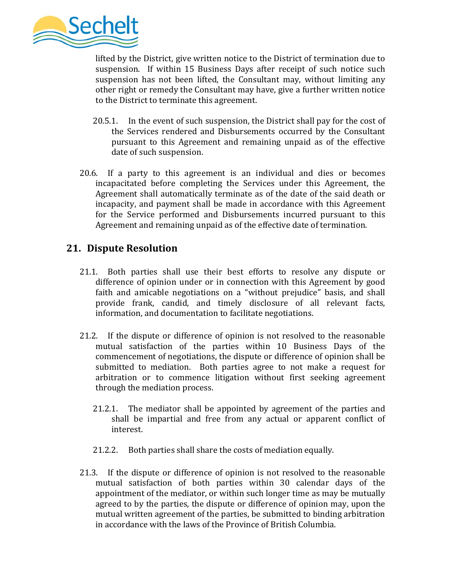

lifted by the District, give written notice to the District of termination due to suspension. If within 15 Business Days after receipt of such notice such suspension has not been lifted, the Consultant may, without limiting any other right or remedy the Consultant may have, give a further written notice to the District to terminate this agreement.

- 20.5.1. In the event of such suspension, the District shall pay for the cost of the Services rendered and Disbursements occurred by the Consultant pursuant to this Agreement and remaining unpaid as of the effective date of such suspension.
- 20.6. If a party to this agreement is an individual and dies or becomes incapacitated before completing the Services under this Agreement, the Agreement shall automatically terminate as of the date of the said death or incapacity, and payment shall be made in accordance with this Agreement for the Service performed and Disbursements incurred pursuant to this Agreement and remaining unpaid as of the effective date of termination.

## **21. Dispute Resolution**

- 21.1. Both parties shall use their best efforts to resolve any dispute or difference of opinion under or in connection with this Agreement by good faith and amicable negotiations on a "without prejudice" basis, and shall provide frank, candid, and timely disclosure of all relevant facts, information, and documentation to facilitate negotiations.
- 21.2. If the dispute or difference of opinion is not resolved to the reasonable mutual satisfaction of the parties within 10 Business Days of the commencement of negotiations, the dispute or difference of opinion shall be submitted to mediation. Both parties agree to not make a request for arbitration or to commence litigation without first seeking agreement through the mediation process.
	- 21.2.1. The mediator shall be appointed by agreement of the parties and shall be impartial and free from any actual or apparent conflict of interest.
	- 21.2.2. Both parties shall share the costs of mediation equally.
- 21.3. If the dispute or difference of opinion is not resolved to the reasonable mutual satisfaction of both parties within 30 calendar days of the appointment of the mediator, or within such longer time as may be mutually agreed to by the parties, the dispute or difference of opinion may, upon the mutual written agreement of the parties, be submitted to binding arbitration in accordance with the laws of the Province of British Columbia.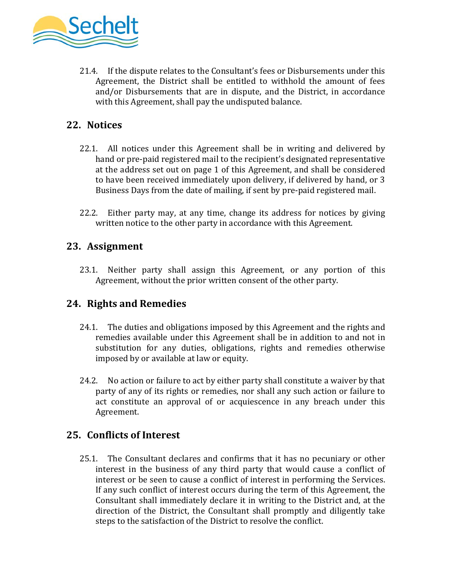

21.4. If the dispute relates to the Consultant's fees or Disbursements under this Agreement, the District shall be entitled to withhold the amount of fees and/or Disbursements that are in dispute, and the District, in accordance with this Agreement, shall pay the undisputed balance.

# **22. Notices**

- 22.1. All notices under this Agreement shall be in writing and delivered by hand or pre-paid registered mail to the recipient's designated representative at the address set out on page 1 of this Agreement, and shall be considered to have been received immediately upon delivery, if delivered by hand, or 3 Business Days from the date of mailing, if sent by pre-paid registered mail.
- 22.2. Either party may, at any time, change its address for notices by giving written notice to the other party in accordance with this Agreement.

### **23. Assignment**

23.1. Neither party shall assign this Agreement, or any portion of this Agreement, without the prior written consent of the other party.

## **24. Rights and Remedies**

- 24.1. The duties and obligations imposed by this Agreement and the rights and remedies available under this Agreement shall be in addition to and not in substitution for any duties, obligations, rights and remedies otherwise imposed by or available at law or equity.
- 24.2. No action or failure to act by either party shall constitute a waiver by that party of any of its rights or remedies, nor shall any such action or failure to act constitute an approval of or acquiescence in any breach under this Agreement.

### **25. Conflicts of Interest**

25.1. The Consultant declares and confirms that it has no pecuniary or other interest in the business of any third party that would cause a conflict of interest or be seen to cause a conflict of interest in performing the Services. If any such conflict of interest occurs during the term of this Agreement, the Consultant shall immediately declare it in writing to the District and, at the direction of the District, the Consultant shall promptly and diligently take steps to the satisfaction of the District to resolve the conflict.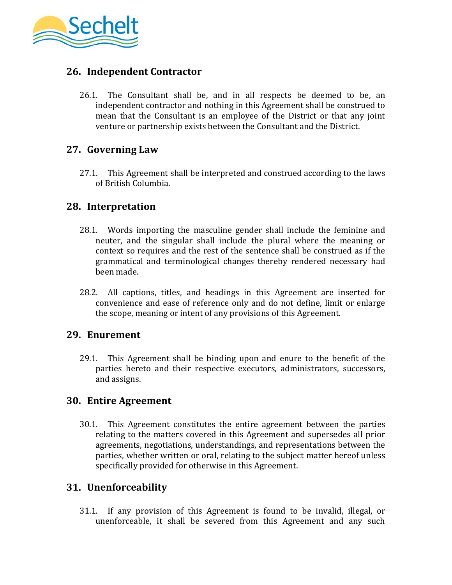

## **26. Independent Contractor**

26.1. The Consultant shall be, and in all respects be deemed to be, an independent contractor and nothing in this Agreement shall be construed to mean that the Consultant is an employee of the District or that any joint venture or partnership exists between the Consultant and the District.

### **27. Governing Law**

27.1. This Agreement shall be interpreted and construed according to the laws of British Columbia.

### **28. Interpretation**

- 28.1. Words importing the masculine gender shall include the feminine and neuter, and the singular shall include the plural where the meaning or context so requires and the rest of the sentence shall be construed as if the grammatical and terminological changes thereby rendered necessary had been made.
- 28.2. All captions, titles, and headings in this Agreement are inserted for convenience and ease of reference only and do not define, limit or enlarge the scope, meaning or intent of any provisions of this Agreement.

### **29. Enurement**

29.1. This Agreement shall be binding upon and enure to the benefit of the parties hereto and their respective executors, administrators, successors, and assigns.

### **30. Entire Agreement**

30.1. This Agreement constitutes the entire agreement between the parties relating to the matters covered in this Agreement and supersedes all prior agreements, negotiations, understandings, and representations between the parties, whether written or oral, relating to the subject matter hereof unless specifically provided for otherwise in this Agreement.

### **31. Unenforceability**

31.1. If any provision of this Agreement is found to be invalid, illegal, or unenforceable, it shall be severed from this Agreement and any such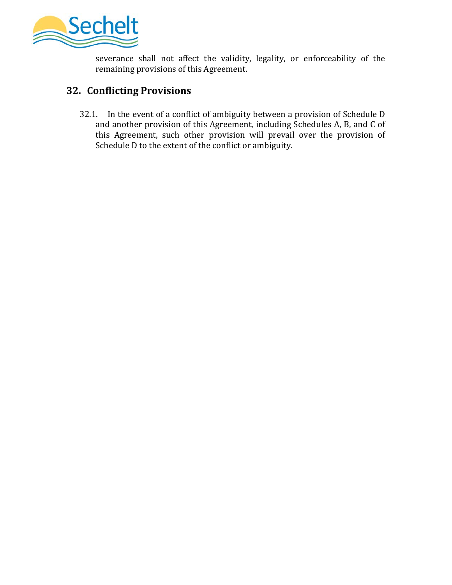

severance shall not affect the validity, legality, or enforceability of the remaining provisions of this Agreement.

# **32. Conflicting Provisions**

32.1. In the event of a conflict of ambiguity between a provision of Schedule D and another provision of this Agreement, including Schedules A, B, and C of this Agreement, such other provision will prevail over the provision of Schedule D to the extent of the conflict or ambiguity.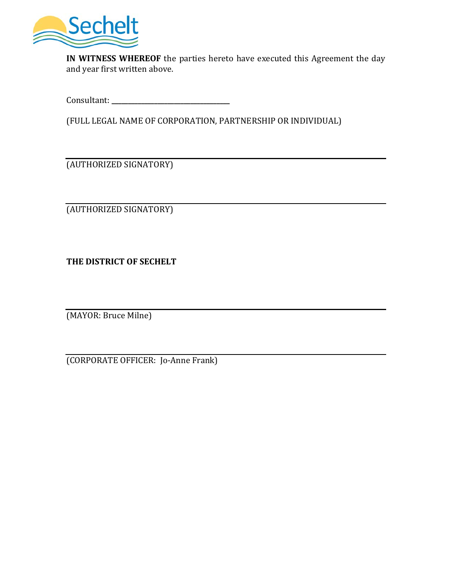

**IN WITNESS WHEREOF** the parties hereto have executed this Agreement the day and year first written above.

Consultant: **\_\_\_\_\_\_\_\_\_\_\_\_\_\_\_\_\_\_\_\_\_\_\_\_\_\_\_\_\_\_\_\_\_\_\_\_**

(FULL LEGAL NAME OF CORPORATION, PARTNERSHIP OR INDIVIDUAL)

(AUTHORIZED SIGNATORY)

(AUTHORIZED SIGNATORY)

**THE DISTRICT OF SECHELT**

(MAYOR: Bruce Milne)

(CORPORATE OFFICER: Jo-Anne Frank)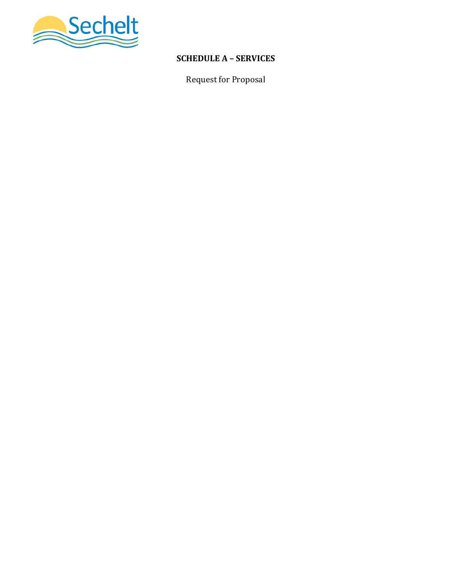

## **SCHEDULE A – SERVICES**

Request for Proposal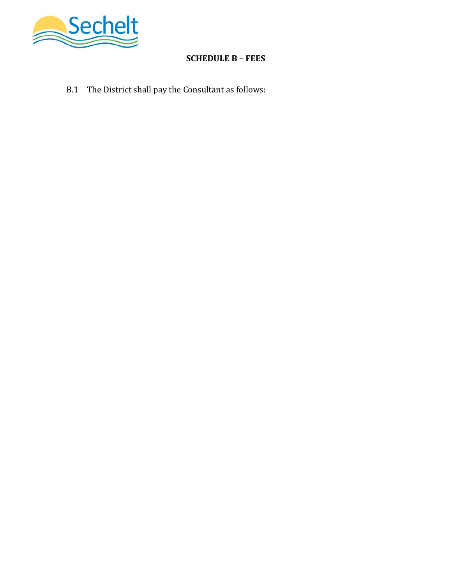

## **SCHEDULE B – FEES**

B.1 The District shall pay the Consultant as follows: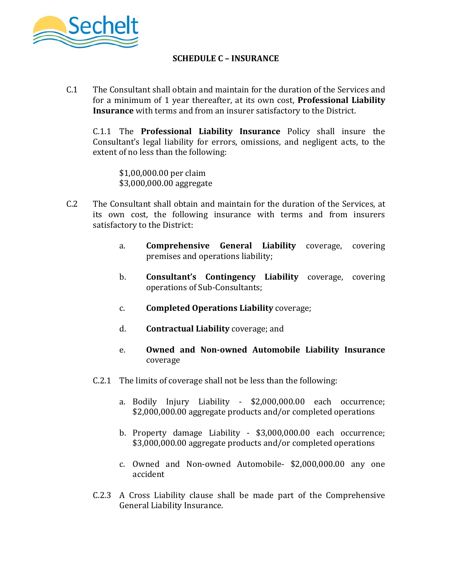

### **SCHEDULE C – INSURANCE**

C.1 The Consultant shall obtain and maintain for the duration of the Services and for a minimum of 1 year thereafter, at its own cost, **Professional Liability Insurance** with terms and from an insurer satisfactory to the District.

C.1.1 The **Professional Liability Insurance** Policy shall insure the Consultant's legal liability for errors, omissions, and negligent acts, to the extent of no less than the following:

 \$1,00,000.00 per claim \$3,000,000.00 aggregate

- C.2 The Consultant shall obtain and maintain for the duration of the Services, at its own cost, the following insurance with terms and from insurers satisfactory to the District:
	- a. **Comprehensive General Liability** coverage, covering premises and operations liability;
	- b. **Consultant's Contingency Liability** coverage, covering operations of Sub-Consultants;
	- c. **Completed Operations Liability** coverage;
	- d. **Contractual Liability** coverage; and
	- e. **Owned and Non-owned Automobile Liability Insurance** coverage
	- C.2.1 The limits of coverage shall not be less than the following:
		- a. Bodily Injury Liability \$2,000,000.00 each occurrence; \$2,000,000.00 aggregate products and/or completed operations
		- b. Property damage Liability \$3,000,000.00 each occurrence; \$3,000,000.00 aggregate products and/or completed operations
		- c. Owned and Non-owned Automobile- \$2,000,000.00 any one accident
	- C.2.3 A Cross Liability clause shall be made part of the Comprehensive General Liability Insurance.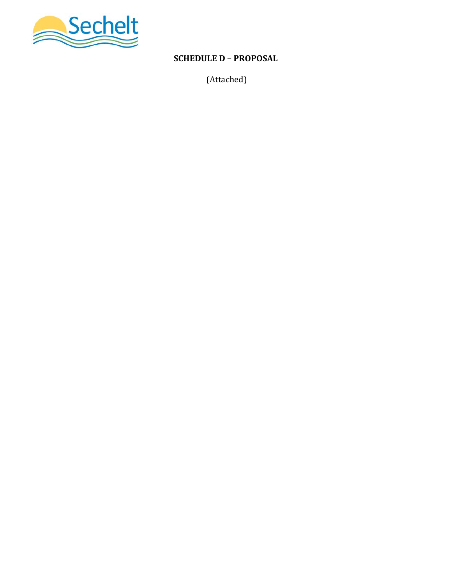

# **SCHEDULE D – PROPOSAL**

(Attached)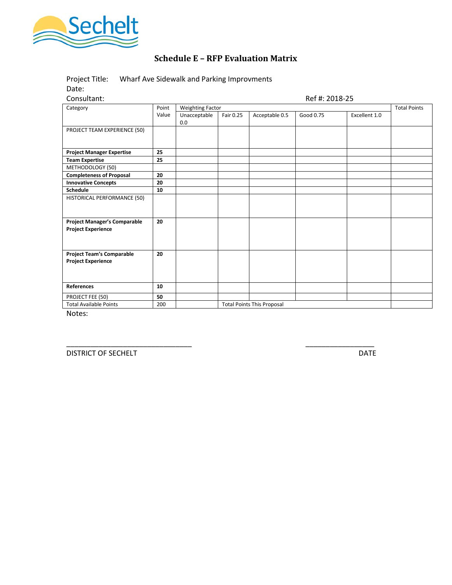

## **Schedule E – RFP Evaluation Matrix**

Project Title: Wharf Ave Sidewalk and Parking Improvments Date:

Consultant: Ref #: 2018-25

| Category                                                         | Point | <b>Weighting Factor</b> |           |                                   |           |               | <b>Total Points</b> |
|------------------------------------------------------------------|-------|-------------------------|-----------|-----------------------------------|-----------|---------------|---------------------|
|                                                                  | Value | Unacceptable<br>0.0     | Fair 0.25 | Acceptable 0.5                    | Good 0.75 | Excellent 1.0 |                     |
| PROJECT TEAM EXPERIENCE (50)                                     |       |                         |           |                                   |           |               |                     |
| <b>Project Manager Expertise</b>                                 | 25    |                         |           |                                   |           |               |                     |
| <b>Team Expertise</b>                                            | 25    |                         |           |                                   |           |               |                     |
| METHODOLOGY (50)                                                 |       |                         |           |                                   |           |               |                     |
| <b>Completeness of Proposal</b>                                  | 20    |                         |           |                                   |           |               |                     |
| <b>Innovative Concepts</b>                                       | 20    |                         |           |                                   |           |               |                     |
| <b>Schedule</b>                                                  | 10    |                         |           |                                   |           |               |                     |
| HISTORICAL PERFORMANCE (50)                                      |       |                         |           |                                   |           |               |                     |
| <b>Project Manager's Comparable</b><br><b>Project Experience</b> | 20    |                         |           |                                   |           |               |                     |
| <b>Project Team's Comparable</b><br><b>Project Experience</b>    | 20    |                         |           |                                   |           |               |                     |
| <b>References</b>                                                | 10    |                         |           |                                   |           |               |                     |
| PROJECT FEE (50)                                                 | 50    |                         |           |                                   |           |               |                     |
| <b>Total Available Points</b>                                    | 200   |                         |           | <b>Total Points This Proposal</b> |           |               |                     |

\_\_\_\_\_\_\_\_\_\_\_\_\_\_\_\_\_\_\_\_\_\_\_\_\_\_\_\_\_\_\_ \_\_\_\_\_\_\_\_\_\_\_\_\_\_\_\_\_

Notes:

DISTRICT OF SECHELT DATE